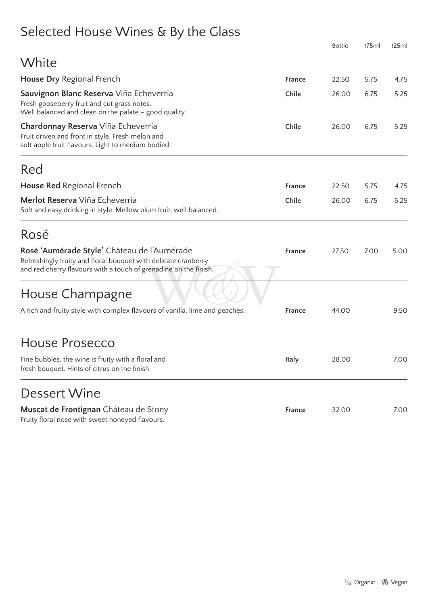# Selected House Wines & By the Glass

|                                                                                                                                                                                   |        | <b>Bottle</b> | 175ml | 125ml |
|-----------------------------------------------------------------------------------------------------------------------------------------------------------------------------------|--------|---------------|-------|-------|
| White                                                                                                                                                                             |        |               |       |       |
| <b>House Dry Regional French</b>                                                                                                                                                  | France | 22.50         | 5.75  | 4.75  |
| Sauvignon Blanc Reserva Viña Echeverria<br>Fresh gooseberry fruit and cut grass notes.<br>Well balanced and clean on the palate - good quality.                                   | Chile  | 26.00         | 6.75  | 5.25  |
| Chardonnay Reserva Viña Echeverria<br>Fruit driven and front in style. Fresh melon and<br>soft apple fruit flavours. Light to medium bodied.                                      | Chile  | 26.00         | 6.75  | 5.25  |
| Red                                                                                                                                                                               |        |               |       |       |
| <b>House Red Regional French</b>                                                                                                                                                  | France | 22.50         | 5.75  | 4.75  |
| Merlot Reserva Viña Echeverria<br>Soft and easy drinking in style. Mellow plum fruit, well balanced.                                                                              | Chile  | 26.00         | 6.75  | 5.25  |
| Rosé                                                                                                                                                                              |        |               |       |       |
| Rosé 'Aumérade Style' Château de l'Aumérade<br>Refreshingly fruity and floral bouquet with delicate cranberry<br>and red cherry flavours with a touch of grenadine on the finish. | France | 27.50         | 7.00  | 5.00  |
| House Champagne                                                                                                                                                                   |        |               |       |       |
| A rich and fruity style with complex flavours of vanilla, lime and peaches.                                                                                                       | France | 44.00         |       | 9.50  |
| <b>House Prosecco</b>                                                                                                                                                             |        |               |       |       |
| Fine bubbles, the wine is fruity with a floral and<br>fresh bouquet. Hints of citrus on the finish.                                                                               | Italy  | 28.00         |       | 7.00  |
| Dessert Wine                                                                                                                                                                      |        |               |       |       |
| Muscat de Frontignan Château de Stony<br>Fruity floral nose with sweet honeyed flavours.                                                                                          | France | 32.00         |       | 7.00  |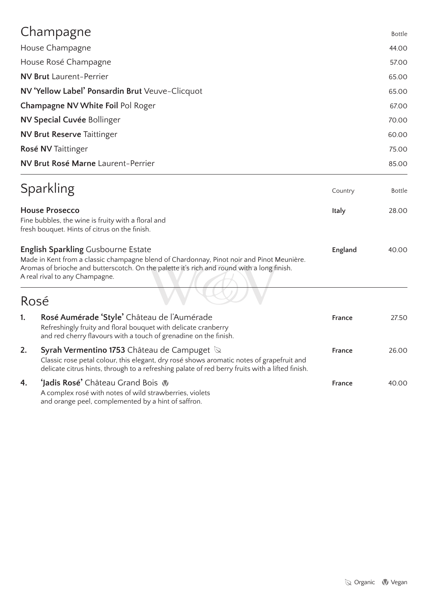|                           | Champagne                                                                                                                                                                                                                                                              |               | <b>Bottle</b>  |  |
|---------------------------|------------------------------------------------------------------------------------------------------------------------------------------------------------------------------------------------------------------------------------------------------------------------|---------------|----------------|--|
|                           | House Champagne                                                                                                                                                                                                                                                        |               | 44.00          |  |
|                           | House Rosé Champagne                                                                                                                                                                                                                                                   |               | 57.00          |  |
|                           | <b>NV Brut Laurent-Perrier</b>                                                                                                                                                                                                                                         |               | 65.00          |  |
|                           | NV 'Yellow Label' Ponsardin Brut Veuve-Clicquot                                                                                                                                                                                                                        |               | 65.00          |  |
|                           | Champagne NV White Foil Pol Roger                                                                                                                                                                                                                                      |               |                |  |
|                           | <b>NV Special Cuvée Bollinger</b>                                                                                                                                                                                                                                      |               | 67.00<br>70.00 |  |
|                           | <b>NV Brut Reserve Taittinger</b>                                                                                                                                                                                                                                      |               | 60.00          |  |
| <b>Rosé NV Taittinger</b> |                                                                                                                                                                                                                                                                        |               | 75.00          |  |
|                           | NV Brut Rosé Marne Laurent-Perrier                                                                                                                                                                                                                                     |               | 85.00          |  |
|                           | Sparkling                                                                                                                                                                                                                                                              | Country       | <b>Bottle</b>  |  |
|                           | <b>House Prosecco</b><br>Fine bubbles, the wine is fruity with a floral and<br>fresh bouquet. Hints of citrus on the finish.                                                                                                                                           |               | 28.00          |  |
|                           | <b>English Sparkling Gusbourne Estate</b><br>Made in Kent from a classic champagne blend of Chardonnay, Pinot noir and Pinot Meunière.<br>Aromas of brioche and butterscotch. On the palette it's rich and round with a long finish.<br>A real rival to any Champagne. | England       | 40.00          |  |
|                           | Rosé                                                                                                                                                                                                                                                                   |               |                |  |
| 1.                        | Rosé Aumérade 'Style' Château de l'Aumérade<br>Refreshingly fruity and floral bouquet with delicate cranberry<br>and red cherry flavours with a touch of grenadine on the finish.                                                                                      | <b>France</b> | 27.50          |  |
| 2.                        | <b>Syrah Vermentino 1753</b> Château de Campuget $\Im$<br>Classic rose petal colour, this elegant, dry rosé shows aromatic notes of grapefruit and<br>delicate citrus hints, through to a refreshing palate of red berry fruits with a lifted finish.                  | <b>France</b> | 26.00          |  |
| 4.                        | <b>Jadis Rosé'</b> Château Grand Bois W<br>A complex rosé with notes of wild strawberries, violets                                                                                                                                                                     | France        | 40.00          |  |

and orange peel, complemented by a hint of saffron.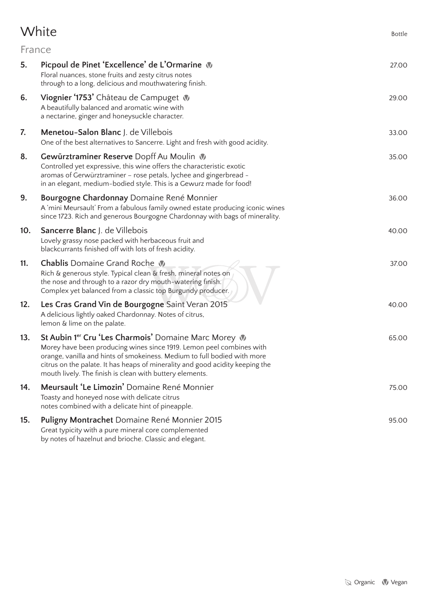# White Bottle

|     | France                                                                                                                                                                                                                                                                                                                                                          |       |
|-----|-----------------------------------------------------------------------------------------------------------------------------------------------------------------------------------------------------------------------------------------------------------------------------------------------------------------------------------------------------------------|-------|
| 5.  | Picpoul de Pinet 'Excellence' de L'Ormarine \<br>Floral nuances, stone fruits and zesty citrus notes<br>through to a long, delicious and mouthwatering finish.                                                                                                                                                                                                  | 27.00 |
| 6.  | Viognier '1753' Château de Campuget v<br>A beautifully balanced and aromatic wine with<br>a nectarine, ginger and honeysuckle character.                                                                                                                                                                                                                        | 29.00 |
| 7.  | <b>Menetou-Salon Blanc</b> J. de Villebois<br>One of the best alternatives to Sancerre. Light and fresh with good acidity.                                                                                                                                                                                                                                      | 33.00 |
| 8.  | Gewürztraminer Reserve Dopff Au Moulin<br>Controlled yet expressive, this wine offers the characteristic exotic<br>aromas of Gerwürztraminer - rose petals, lychee and gingerbread -<br>in an elegant, medium-bodied style. This is a Gewurz made for food!                                                                                                     | 35.00 |
| 9.  | Bourgogne Chardonnay Domaine René Monnier<br>A 'mini Meursault' From a fabulous family owned estate producing iconic wines<br>since 1723. Rich and generous Bourgogne Chardonnay with bags of minerality.                                                                                                                                                       | 36.00 |
| 10. | <b>Sancerre Blanc</b> J. de Villebois<br>Lovely grassy nose packed with herbaceous fruit and<br>blackcurrants finished off with lots of fresh acidity.                                                                                                                                                                                                          | 40.00 |
| 11. | <b>Chablis</b> Domaine Grand Roche W<br>Rich & generous style. Typical clean & fresh, mineral notes on<br>the nose and through to a razor dry mouth-watering finish.<br>Complex yet balanced from a classic top Burgundy producer.                                                                                                                              | 37.00 |
| 12. | Les Cras Grand Vin de Bourgogne Saint Veran 2015<br>A delicious lightly oaked Chardonnay. Notes of citrus,<br>lemon & lime on the palate.                                                                                                                                                                                                                       | 40.00 |
| 13. | St Aubin 1 <sup>er</sup> Cru 'Les Charmois' Domaine Marc Morey<br>Morey have been producing wines since 1919. Lemon peel combines with<br>orange, vanilla and hints of smokeiness. Medium to full bodied with more<br>citrus on the palate. It has heaps of minerality and good acidity keeping the<br>mouth lively. The finish is clean with buttery elements. | 65.00 |
| 14. | Meursault 'Le Limozin' Domaine René Monnier<br>Toasty and honeyed nose with delicate citrus<br>notes combined with a delicate hint of pineapple.                                                                                                                                                                                                                | 75.00 |
| 15. | Puligny Montrachet Domaine René Monnier 2015<br>Great typicity with a pure mineral core complemented                                                                                                                                                                                                                                                            | 95.00 |

by notes of hazelnut and brioche. Classic and elegant.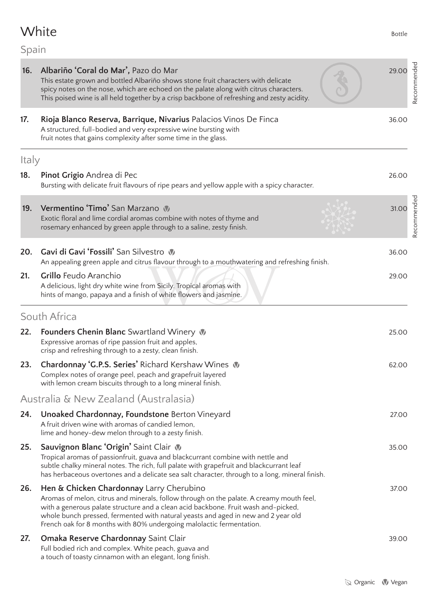# White Bottle

# Spain

| 16.   | Albariño 'Coral do Mar', Pazo do Mar<br>This estate grown and bottled Albariño shows stone fruit characters with delicate<br>spicy notes on the nose, which are echoed on the palate along with citrus characters.<br>This poised wine is all held together by a crisp backbone of refreshing and zesty acidity.                                                                        | 29.00 | Recommended |
|-------|-----------------------------------------------------------------------------------------------------------------------------------------------------------------------------------------------------------------------------------------------------------------------------------------------------------------------------------------------------------------------------------------|-------|-------------|
| 17.   | Rioja Blanco Reserva, Barrique, Nivarius Palacios Vinos De Finca<br>A structured, full-bodied and very expressive wine bursting with<br>fruit notes that gains complexity after some time in the glass.                                                                                                                                                                                 | 36.00 |             |
| Italy |                                                                                                                                                                                                                                                                                                                                                                                         |       |             |
| 18.   | Pinot Grigio Andrea di Pec<br>Bursting with delicate fruit flavours of ripe pears and yellow apple with a spicy character.                                                                                                                                                                                                                                                              | 26.00 |             |
| 19.   | Vermentino 'Timo' San Marzano<br>Exotic floral and lime cordial aromas combine with notes of thyme and<br>rosemary enhanced by green apple through to a saline, zesty finish.                                                                                                                                                                                                           | 31.00 | Recommended |
| 20.   | Gavi di Gavi 'Fossili' San Silvestro<br>An appealing green apple and citrus flavour through to a mouthwatering and refreshing finish.                                                                                                                                                                                                                                                   | 36.00 |             |
| 21.   | <b>Grillo Feudo Aranchio</b><br>A delicious, light dry white wine from Sicily. Tropical aromas with<br>hints of mango, papaya and a finish of white flowers and jasmine.                                                                                                                                                                                                                | 29.00 |             |
|       | South Africa                                                                                                                                                                                                                                                                                                                                                                            |       |             |
| 22.   | <b>Founders Chenin Blanc</b> Swartland Winery<br>Expressive aromas of ripe passion fruit and apples,<br>crisp and refreshing through to a zesty, clean finish.                                                                                                                                                                                                                          | 25.00 |             |
| 23.   | Chardonnay 'G.P.S. Series' Richard Kershaw Wines<br>Complex notes of orange peel, peach and grapefruit layered<br>with lemon cream biscuits through to a long mineral finish.                                                                                                                                                                                                           | 62.00 |             |
|       | Australia & New Zealand (Australasia)                                                                                                                                                                                                                                                                                                                                                   |       |             |
| 24.   | Unoaked Chardonnay, Foundstone Berton Vineyard<br>A fruit driven wine with aromas of candied lemon,<br>lime and honey-dew melon through to a zesty finish.                                                                                                                                                                                                                              | 27.00 |             |
| 25.   | Sauvignon Blanc 'Origin' Saint Clair \<br>Tropical aromas of passionfruit, guava and blackcurrant combine with nettle and<br>subtle chalky mineral notes. The rich, full palate with grapefruit and blackcurrant leaf<br>has herbaceous overtones and a delicate sea salt character, through to a long, mineral finish.                                                                 | 35.00 |             |
| 26.   | Hen & Chicken Chardonnay Larry Cherubino<br>Aromas of melon, citrus and minerals, follow through on the palate. A creamy mouth feel,<br>with a generous palate structure and a clean acid backbone. Fruit wash and-picked,<br>whole bunch pressed, fermented with natural yeasts and aged in new and 2 year old<br>French oak for 8 months with 80% undergoing malolactic fermentation. | 37.00 |             |
| 27.   | <b>Omaka Reserve Chardonnay Saint Clair</b><br>Full bodied rich and complex. White peach, guava and<br>a touch of toasty cinnamon with an elegant, long finish.                                                                                                                                                                                                                         | 39.00 |             |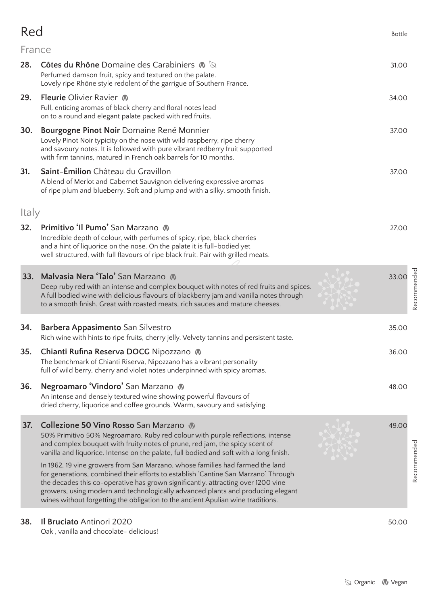# $\text{Red}$

### France

| 28.   | <b>Côtes du Rhône</b> Domaine des Carabiniers $\mathbf{W}$<br>Perfumed damson fruit, spicy and textured on the palate.<br>Lovely ripe Rhône style redolent of the garrigue of Southern France.                                                                                                                                                                                                                                 | 31.00 |             |
|-------|--------------------------------------------------------------------------------------------------------------------------------------------------------------------------------------------------------------------------------------------------------------------------------------------------------------------------------------------------------------------------------------------------------------------------------|-------|-------------|
| 29.   | <b>Fleurie</b> Olivier Ravier<br>Full, enticing aromas of black cherry and floral notes lead<br>on to a round and elegant palate packed with red fruits.                                                                                                                                                                                                                                                                       | 34.00 |             |
| 30.   | Bourgogne Pinot Noir Domaine René Monnier<br>Lovely Pinot Noir typicity on the nose with wild raspberry, ripe cherry<br>and savoury notes. It is followed with pure vibrant redberry fruit supported<br>with firm tannins, matured in French oak barrels for 10 months.                                                                                                                                                        | 37.00 |             |
| 31.   | Saint-Émilion Château du Gravillon<br>A blend of Merlot and Cabernet Sauvignon delivering expressive aromas<br>of ripe plum and blueberry. Soft and plump and with a silky, smooth finish.                                                                                                                                                                                                                                     | 37.00 |             |
| Italy |                                                                                                                                                                                                                                                                                                                                                                                                                                |       |             |
| 32.   | Primitivo 'Il Pumo' San Marzano<br>Incredible depth of colour, with perfumes of spicy, ripe, black cherries<br>and a hint of liquorice on the nose. On the palate it is full-bodied yet<br>well structured, with full flavours of ripe black fruit. Pair with grilled meats.                                                                                                                                                   | 27.00 |             |
| 33.   | Malvasia Nera 'Talo' San Marzano<br>Deep ruby red with an intense and complex bouquet with notes of red fruits and spices.<br>A full bodied wine with delicious flavours of blackberry jam and vanilla notes through<br>to a smooth finish. Great with roasted meats, rich sauces and mature cheeses.                                                                                                                          | 33.00 | Recommended |
| 34.   | <b>Barbera Appasimento San Silvestro</b><br>Rich wine with hints to ripe fruits, cherry jelly. Velvety tannins and persistent taste.                                                                                                                                                                                                                                                                                           | 35.00 |             |
| 35.   | Chianti Rufina Reserva DOCG Nipozzano<br>The benchmark of Chianti Riserva, Nipozzano has a vibrant personality<br>full of wild berry, cherry and violet notes underpinned with spicy aromas.                                                                                                                                                                                                                                   | 36.00 |             |
| 36.   | <b>Negroamaro 'Vindoro'</b> San Marzano $\mathbb{V}$<br>An intense and densely textured wine showing powerful flavours of<br>dried cherry, liquorice and coffee grounds. Warm, savoury and satisfying.                                                                                                                                                                                                                         | 48.00 |             |
| 37.   | Collezione 50 Vino Rosso San Marzano<br>50% Primitivo 50% Negroamaro. Ruby red colour with purple reflections, intense<br>and complex bouquet with fruity notes of prune, red jam, the spicy scent of<br>vanilla and liquorice. Intense on the palate, full bodied and soft with a long finish.                                                                                                                                | 49.00 |             |
|       | In 1962, 19 vine growers from San Marzano, whose families had farmed the land<br>for generations, combined their efforts to establish 'Cantine San Marzano'. Through<br>the decades this co-operative has grown significantly, attracting over 1200 vine<br>growers, using modern and technologically advanced plants and producing elegant<br>wines without forgetting the obligation to the ancient Apulian wine traditions. |       | Recommended |
| 38.   | Il Bruciato Antinori 2020                                                                                                                                                                                                                                                                                                                                                                                                      | 50.00 |             |

Oak , vanilla and chocolate- delicious!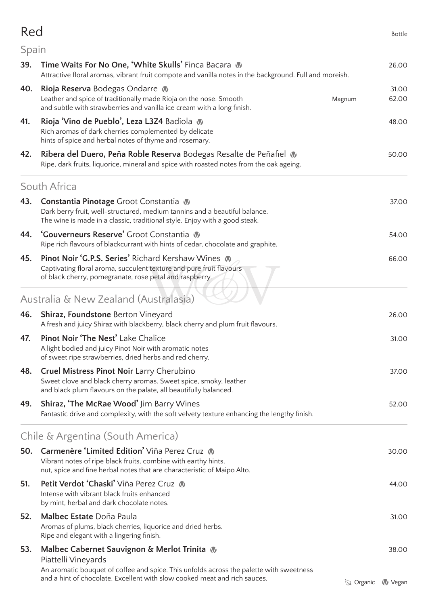| Red   |                                                                                                                                                                                                         |                   | <b>Bottle</b>  |
|-------|---------------------------------------------------------------------------------------------------------------------------------------------------------------------------------------------------------|-------------------|----------------|
| Spain |                                                                                                                                                                                                         |                   |                |
| 39.   | Time Waits For No One, 'White Skulls' Finca Bacara<br>Attractive floral aromas, vibrant fruit compote and vanilla notes in the background. Full and moreish.                                            |                   | 26.00          |
| 40.   | <b>Rioja Reserva</b> Bodegas Ondarre W<br>Leather and spice of traditionally made Rioja on the nose. Smooth<br>and subtle with strawberries and vanilla ice cream with a long finish.                   | Magnum            | 31.00<br>62.00 |
| 41.   | Rioja 'Vino de Pueblo', Leza L3Z4 Badiola<br>Rich aromas of dark cherries complemented by delicate<br>hints of spice and herbal notes of thyme and rosemary.                                            |                   | 48.00          |
| 42.   | Ribera del Duero, Peña Roble Reserva Bodegas Resalte de Peñafiel<br>Ripe, dark fruits, liquorice, mineral and spice with roasted notes from the oak ageing.                                             |                   | 50.00          |
|       | South Africa                                                                                                                                                                                            |                   |                |
| 43.   | <b>Constantia Pinotage</b> Groot Constantia<br>Dark berry fruit, well-structured, medium tannins and a beautiful balance.<br>The wine is made in a classic, traditional style. Enjoy with a good steak. |                   | 37.00          |
| 44.   | 'Gouverneurs Reserve' Groot Constantia W<br>Ripe rich flavours of blackcurrant with hints of cedar, chocolate and graphite.                                                                             |                   | 54.00          |
| 45.   | <b>Pinot Noir 'G.P.S. Series' Richard Kershaw Wines W</b><br>Captivating floral aroma, succulent texture and pure fruit flavours<br>of black cherry, pomegranate, rose petal and raspberry.             |                   | 66.00          |
|       | Australia & New Zealand (Australasia)                                                                                                                                                                   |                   |                |
| 46.   | <b>Shiraz, Foundstone Berton Vineyard</b><br>A fresh and juicy Shiraz with blackberry, black cherry and plum fruit flavours.                                                                            |                   | 26.00          |
| 47.   | Pinot Noir 'The Nest' Lake Chalice<br>A light bodied and juicy Pinot Noir with aromatic notes<br>of sweet ripe strawberries, dried herbs and red cherry.                                                |                   | 31.00          |
| 48.   | <b>Cruel Mistress Pinot Noir Larry Cherubino</b><br>Sweet clove and black cherry aromas. Sweet spice, smoky, leather<br>and black plum flavours on the palate, all beautifully balanced.                |                   | 37.00          |
| 49.   | <b>Shiraz, 'The McRae Wood' Jim Barry Wines</b><br>Fantastic drive and complexity, with the soft velvety texture enhancing the lengthy finish.                                                          |                   | 52.00          |
|       | Chile & Argentina (South America)                                                                                                                                                                       |                   |                |
| 50.   | Carmenère 'Limited Edition' Viña Perez Cruz<br>Vibrant notes of ripe black fruits, combine with earthy hints,<br>nut, spice and fine herbal notes that are characteristic of Maipo Alto.                |                   | 30.00          |
| 51.   | <b>Petit Verdot 'Chaski' Viña Perez Cruz W</b><br>Intense with vibrant black fruits enhanced<br>by mint, herbal and dark chocolate notes.                                                               |                   | 44.00          |
| 52.   | Malbec Estate Doña Paula<br>Aromas of plums, black cherries, liquorice and dried herbs.<br>Ripe and elegant with a lingering finish.                                                                    |                   | 31.00          |
| 53.   | Malbec Cabernet Sauvignon & Merlot Trinita $\mathbb W$<br>Piattelli Vineyards<br>An aromatic bouquet of coffee and spice. This unfolds across the palette with sweetness                                |                   | 38.00          |
|       | and a hint of chocolate. Excellent with slow cooked meat and rich sauces.                                                                                                                               | $\oslash$ Organic | <b>V</b> Vegan |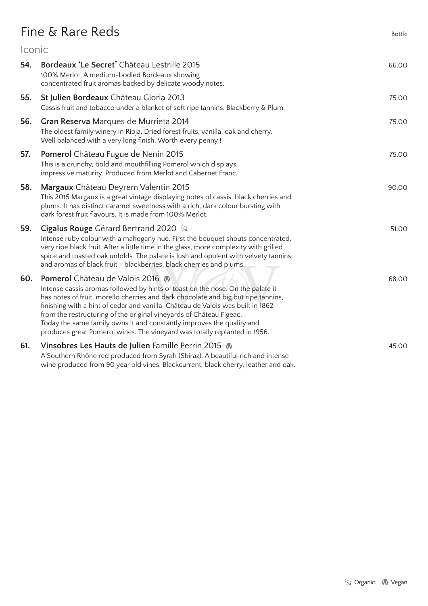# Fine & Rare Reds Bottle

| <i><u><b>Iconic</b></u></i> |                                                                                                                                                                                                                                                                                                                                                                                                                                                                                                                              |       |
|-----------------------------|------------------------------------------------------------------------------------------------------------------------------------------------------------------------------------------------------------------------------------------------------------------------------------------------------------------------------------------------------------------------------------------------------------------------------------------------------------------------------------------------------------------------------|-------|
| 54.                         | Bordeaux 'Le Secret' Château Lestrille 2015<br>100% Merlot. A medium-bodied Bordeaux showing<br>concentrated fruit aromas backed by delicate woody notes.                                                                                                                                                                                                                                                                                                                                                                    | 66.00 |
| 55.                         | St Julien Bordeaux Château Gloria 2013<br>Cassis fruit and tobacco under a blanket of soft ripe tannins. Blackberry & Plum.                                                                                                                                                                                                                                                                                                                                                                                                  | 75.00 |
| 56.                         | Gran Reserva Marques de Murrieta 2014<br>The oldest family winery in Rioja. Dried forest fruits, vanilla, oak and cherry.<br>Well balanced with a very long finish. Worth every penny !                                                                                                                                                                                                                                                                                                                                      | 75.00 |
| 57.                         | Pomerol Château Fugue de Nenin 2015<br>This is a crunchy, bold and mouthfilling Pomerol which displays<br>impressive maturity. Produced from Merlot and Cabernet Franc.                                                                                                                                                                                                                                                                                                                                                      | 75.00 |
| 58.                         | Margaux Château Deyrem Valentin 2015<br>This 2015 Margaux is a great vintage displaying notes of cassis, black cherries and<br>plums. It has distinct caramel sweetness with a rich, dark colour bursting with<br>dark forest fruit flavours. It is made from 100% Merlot.                                                                                                                                                                                                                                                   | 90.00 |
| 59.                         | <b>Cigalus Rouge</b> Gérard Bertrand 2020 $\&$<br>Intense ruby colour with a mahogany hue. First the bouquet shouts concentrated,<br>very ripe black fruit. After a little time in the glass, more complexity with grilled<br>spice and toasted oak unfolds. The palate is lush and opulent with velvety tannins<br>and aromas of black fruit - blackberries, black cherries and plums.                                                                                                                                      | 51.00 |
| 60.                         | <b>Pomerol</b> Château de Valois 2016<br>Intense cassis aromas followed by hints of toast on the nose. On the palate it<br>has notes of fruit, morello cherries and dark chocolate and big but ripe tannins,<br>finishing with a hint of cedar and vanilla. Château de Valois was built in 1862<br>from the restructuring of the original vineyards of Château Figeac.<br>Today the same family owns it and constantly improves the quality and<br>produces great Pomerol wines. The vineyard was totally replanted in 1956. | 68.00 |
| 61.                         | Vinsobres Les Hauts de Julien Famille Perrin 2015<br>A Southern Rhône red produced from Syrah (Shiraz). A beautiful rich and intense<br>wine produced from 90 year old vines. Blackcurrent, black cherry, leather and oak.                                                                                                                                                                                                                                                                                                   | 45.00 |